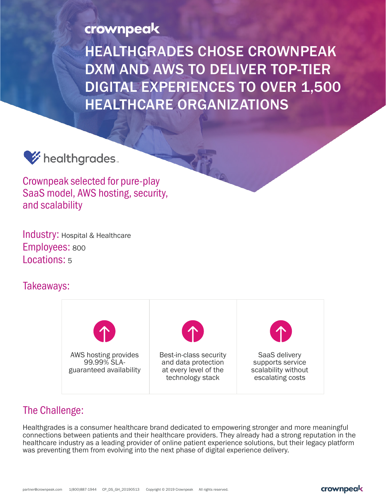crownpeak

HEALTHGRADES CHOSE CROWNPEAK DXM AND AWS TO DELIVER TOP-TIER DIGITAL EXPERIENCES TO OVER 1,500 HEALTHCARE ORGANIZATIONS



Crownpeak selected for pure-play SaaS model, AWS hosting, security, and scalability

Industry: Hospital & Healthcare Employees: <sup>800</sup> Locations: 5

### Takeaways:



## The Challenge:

Healthgrades is a consumer healthcare brand dedicated to empowering stronger and more meaningful connections between patients and their healthcare providers. They already had a strong reputation in the healthcare industry as a leading provider of online patient experience solutions, but their legacy platform was preventing them from evolving into the next phase of digital experience delivery.

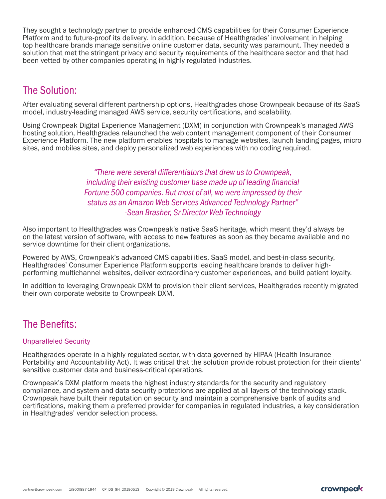They sought a technology partner to provide enhanced CMS capabilities for their Consumer Experience Platform and to future-proof its delivery. In addition, because of Healthgrades' involvement in helping top healthcare brands manage sensitive online customer data, security was paramount. They needed a solution that met the stringent privacy and security requirements of the healthcare sector and that had been vetted by other companies operating in highly regulated industries.

# The Solution:

After evaluating several different partnership options, Healthgrades chose Crownpeak because of its SaaS model, industry-leading managed AWS service, security certifications, and scalability.

Using Crownpeak Digital Experience Management (DXM) in conjunction with Crownpeak's managed AWS hosting solution, Healthgrades relaunched the web content management component of their Consumer Experience Platform. The new platform enables hospitals to manage websites, launch landing pages, micro sites, and mobiles sites, and deploy personalized web experiences with no coding required.

> *"There were several differentiators that drew us to Crownpeak, including their existing customer base made up of leading financial Fortune 500 companies. But most of all, we were impressed by their status as an Amazon Web Services Advanced Technology Partner" -Sean Brasher, Sr Director Web Technology*

Also important to Healthgrades was Crownpeak's native SaaS heritage, which meant they'd always be on the latest version of software, with access to new features as soon as they became available and no service downtime for their client organizations.

Powered by AWS, Crownpeak's advanced CMS capabilities, SaaS model, and best-in-class security, Healthgrades' Consumer Experience Platform supports leading healthcare brands to deliver highperforming multichannel websites, deliver extraordinary customer experiences, and build patient loyalty.

In addition to leveraging Crownpeak DXM to provision their client services, Healthgrades recently migrated their own corporate website to Crownpeak DXM.

# The Benefits:

#### Unparalleled Security

Healthgrades operate in a highly regulated sector, with data governed by HIPAA (Health Insurance Portability and Accountability Act). It was critical that the solution provide robust protection for their clients' sensitive customer data and business-critical operations.

Crownpeak's DXM platform meets the highest industry standards for the security and regulatory compliance, and system and data security protections are applied at all layers of the technology stack. Crownpeak have built their reputation on security and maintain a comprehensive bank of audits and certifications, making them a preferred provider for companies in regulated industries, a key consideration in Healthgrades' vendor selection process.